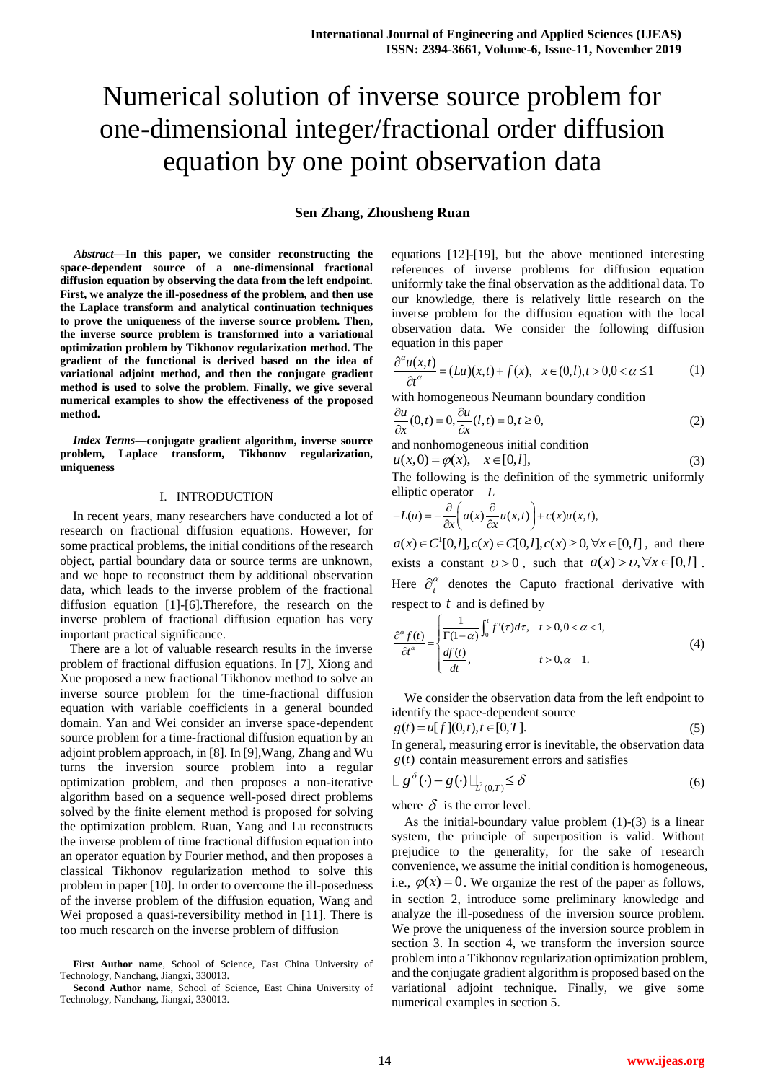# Numerical solution of inverse source problem for one-dimensional integer/fractional order diffusion equation by one point observation data

# **Sen Zhang, Zhousheng Ruan**

*Abstract***—In this paper, we consider reconstructing the space-dependent source of a one-dimensional fractional diffusion equation by observing the data from the left endpoint. First, we analyze the ill-posedness of the problem, and then use the Laplace transform and analytical continuation techniques to prove the uniqueness of the inverse source problem. Then, the inverse source problem is transformed into a variational optimization problem by Tikhonov regularization method. The gradient of the functional is derived based on the idea of variational adjoint method, and then the conjugate gradient method is used to solve the problem. Finally, we give several numerical examples to show the effectiveness of the proposed method.**

*Index Terms***—conjugate gradient algorithm, inverse source problem, Laplace transform, Tikhonov regularization, uniqueness**

#### I. INTRODUCTION

In recent years, many researchers have conducted a lot of research on fractional diffusion equations. However, for some practical problems, the initial conditions of the research object, partial boundary data or source terms are unknown, and we hope to reconstruct them by additional observation data, which leads to the inverse problem of the fractional diffusion equation [1]-[6].Therefore, the research on the inverse problem of fractional diffusion equation has very important practical significance.

 There are a lot of valuable research results in the inverse problem of fractional diffusion equations. In [7], Xiong and Xue proposed a new fractional Tikhonov method to solve an inverse source problem for the time-fractional diffusion equation with variable coefficients in a general bounded domain. Yan and Wei consider an inverse space-dependent source problem for a time-fractional diffusion equation by an adjoint problem approach, in [8]. In [9],Wang, Zhang and Wu turns the inversion source problem into a regular optimization problem, and then proposes a non-iterative algorithm based on a sequence well-posed direct problems solved by the finite element method is proposed for solving the optimization problem. Ruan, Yang and Lu reconstructs the inverse problem of time fractional diffusion equation into an operator equation by Fourier method, and then proposes a classical Tikhonov regularization method to solve this problem in paper [10]. In order to overcome the ill-posedness of the inverse problem of the diffusion equation, Wang and Wei proposed a quasi-reversibility method in [11]. There is too much research on the inverse problem of diffusion

equations [12]-[19], but the above mentioned interesting references of inverse problems for diffusion equation uniformly take the final observation as the additional data. To our knowledge, there is relatively little research on the inverse problem for the diffusion equation with the local observation data. We consider the following diffusion equation in this paper

$$
\frac{\partial^{\alpha} u(x,t)}{\partial t^{\alpha}} = (Lu)(x,t) + f(x), \quad x \in (0,l), t > 0, 0 < \alpha \le 1
$$
 (1)

with homogeneous Neumann boundary condition

$$
\frac{\partial u}{\partial x}(0,t) = 0, \frac{\partial u}{\partial x}(l,t) = 0, t \ge 0,
$$
\n(2)

and nonhomogeneous initial condition  

$$
u(x, 0) = \varphi(x), \quad x \in [0, l],
$$
 (3)

The following is the definition of the symmetric uniformly

elliptic operator 
$$
-L
$$
  
\n
$$
-L(u) = -\frac{\partial}{\partial x} \left( a(x) \frac{\partial}{\partial x} u(x,t) \right) + c(x)u(x,t),
$$

 $-L(u) = -\frac{C}{\partial x} \Big( a(x) \frac{C}{\partial x} u(x,t) + c(x)u(x,t),$ <br>  $a(x) \in C^1[0,l], c(x) \in C[0,l], c(x) \ge 0, \forall x \in [0,l]$ , and there exists a constant  $v > 0$ , such that  $a(x) > v$ ,  $\forall x \in [0, l]$ . Here  $\partial_t^{\alpha}$  denotes the Caputo fractional derivative with

respect to *t* and is defined by  
\n
$$
\frac{\partial^{\alpha} f(t)}{\partial t^{\alpha}} = \begin{cases}\n\frac{1}{\Gamma(1-\alpha)} \int_{0}^{t} f'(r) d\tau, & t > 0, 0 < \alpha < 1, \\
\frac{df(t)}{dt}, & t > 0, \alpha = 1.\n\end{cases}
$$
\n(4)

We consider the observation data from the left endpoint to

identity the space-dependent source  
\n
$$
g(t) = u[f](0, t), t \in [0, T].
$$
 (5)

In general, measuring error is inevitable, the observation data  $g(t)$  contain measurement errors and satisfies

$$
\Box g^{\delta}(\cdot) - g(\cdot) \Box_{\vec{L}^2(0,T)} \leq \delta \tag{6}
$$

where  $\delta$  is the error level.

As the initial-boundary value problem  $(1)-(3)$  is a linear system, the principle of superposition is valid. Without prejudice to the generality, for the sake of research convenience, we assume the initial condition is homogeneous, i.e.,  $\varphi(x) = 0$ . We organize the rest of the paper as follows, in section 2, introduce some preliminary knowledge and analyze the ill-posedness of the inversion source problem. We prove the uniqueness of the inversion source problem in section 3. In section 4, we transform the inversion source problem into a Tikhonov regularization optimization problem, and the conjugate gradient algorithm is proposed based on the variational adjoint technique. Finally, we give some numerical examples in section 5.

**First Author name**, School of Science, East China University of Technology, Nanchang, Jiangxi, 330013.

**Second Author name**, School of Science, East China University of Technology, Nanchang, Jiangxi, 330013.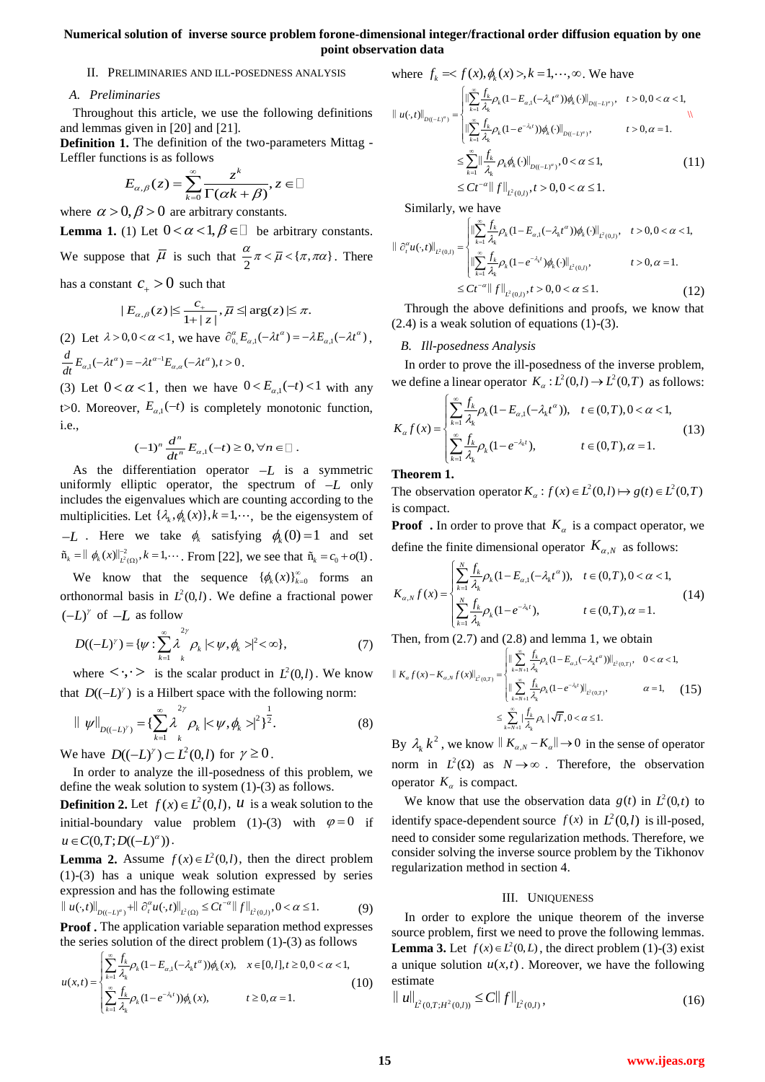# **Numerical solution of inverse source problem forone-dimensional integer/fractional order diffusion equation by one point observation data**

#### II. PRELIMINARIES AND ILL-POSEDNESS ANALYSIS

# *A. Preliminaries*

Throughout this article, we use the following definitions and lemmas given in [20] and [21].

**Definition 1.** The definition of the two-parameters Mittag - Leffler functions is as follows

$$
E_{\alpha,\beta}(z) = \sum_{k=0}^{\infty} \frac{z^k}{\Gamma(\alpha k + \beta)}, z \in \square
$$

where  $\alpha > 0$ ,  $\beta > 0$  are arbitrary constants.

**Lemma 1.** (1) Let  $0 < \alpha < 1, \beta \in \square$  be arbitrary constants. We suppose that  $\overline{\mu}$  is such that  $\frac{\alpha}{2}\pi < \overline{\mu} < \{\pi, \pi\alpha\}$  $\frac{\alpha}{2}\pi < \overline{\mu} < {\pi, \pi\alpha}$ . There

has a constant  $c_+ > 0$  such that

$$
|E_{\alpha,\beta}(z)| \leq \frac{c_+}{1+|z|}, \overline{\mu} \leq |\arg(z)| \leq \pi.
$$

(2) Let  $\lambda > 0, 0 < \alpha < 1$ , we have  $\partial_{0_+}^{\alpha} E_{\alpha,1}(-\lambda t^{\alpha}) = -\lambda E_{\alpha,1}(-\lambda t^{\alpha})$ ,  $\frac{d}{dt} E_{\alpha,1}(-\lambda t^{\alpha}) = -\lambda t^{\alpha-1} E_{\alpha,\alpha}(-\lambda t^{\alpha}), t > 0$  $\int_{\alpha,1}^{\alpha}(-\lambda t^{\alpha}) = -\lambda t^{\alpha-1} E_{\alpha,\alpha}(-\lambda t^{\alpha}), t > 0.$ 

(3) Let  $0 < \alpha < 1$ , then we have  $0 < E_{\alpha,1}(-t) < 1$  with any t $>0$ . Moreover,  $E_{\alpha,1}(-t)$  is completely monotonic function, i.e.,

$$
(-1)^n \frac{d^n}{dt^n} E_{\alpha,1}(-t) \geq 0, \forall n \in \mathbb{Z}.
$$

As the differentiation operator  $-L$  is a symmetric uniformly elliptic operator, the spectrum of *L* only includes the eigenvalues which are counting according to the multiplicities. Let  $\{\lambda_k, \phi_k(x)\}\$ ,  $k = 1, \dots$ , be the eigensystem of *L* . Here we take  $\phi_k$  satisfying  $\phi_k(0) = 1$  and set  $\tilde{n}_k = || \phi_k(x) ||_{L^2(\Omega)}^{-2}, k = 1, \cdots$  From [22], we see that  $\tilde{n}_k = c_0 + o(1)$ .

We know that the sequence  $\{\phi_k(x)\}_{k=0}^{\infty}$  forms an orthonormal basis in  $L^2(0,l)$ . We define a fractional power  $(-L)$ <sup>*r*</sup> of  $-L$  as follow

$$
D((-L)^{\gamma}) = \{ \psi : \sum_{k=1}^{\infty} \lambda \int_{k}^{2\gamma} \rho_{k} \mid \langle \psi, \phi_{k} \rangle \vert^{2} \langle \infty \},
$$
 (7)

where  $\langle \cdot, \cdot \rangle$  is the scalar product in  $L^2(0,l)$ . We know that  $D((-L)^{\gamma})$  is a Hilbert space with the following norm:

$$
\| \psi \|_{D((-L)^{\gamma})} = \left\{ \sum_{k=1}^{\infty} \lambda_k^2 \rho_k | \langle \psi, \phi_k \rangle|^2 \right\}^{\frac{1}{2}}.
$$
 (8)

We have  $D((-L)^{\gamma}) \subset L^2(0, l)$  for  $\gamma \ge 0$ .

In order to analyze the ill-posedness of this problem, we define the weak solution to system (1)-(3) as follows.

**Definition 2.** Let  $f(x) \in L^2(0, l)$ , *u* is a weak solution to the initial-boundary value problem (1)-(3) with  $\varphi = 0$  if  $u \in C(0, T; D((-L)^{\alpha}))$ .

**Lemma 2.** Assume  $f(x) \in L^2(0, l)$ , then the direct problem (1)-(3) has a unique weak solution expressed by series (1)-(3) has a unique weak solution expressed by series<br>expression and has the following estimate<br> $\|u(\cdot,t)\|_{D((-L)^{\alpha})} + \|\partial_t^{\alpha}u(\cdot,t)\|_{L^2(\Omega)} \le Ct^{-\alpha}\|f\|_{L^2(0,l)}, 0 < \alpha \le 1.$  (9)

$$
\| u(\cdot,t) \|_{D((-L)^{\alpha})} + \| \partial_t^{\alpha} u(\cdot,t) \|_{L^2(\Omega)} \leq C t^{-\alpha} \| f \|_{L^2(0,l)}, 0 < \alpha \leq 1.
$$
 (9)

**Proof .** The application variable separation method expresses

$$
\mathbf{u}(x,t) = \begin{cases}\n\sum_{k=1}^{\infty} \frac{f_k}{\lambda_k} \rho_k (1 - E_{\alpha,1}(-\lambda_k t^{\alpha})) \phi_k(x), & x \in [0,1], t \ge 0, 0 < \alpha < 1, \\
\sum_{k=1}^{\infty} \frac{f_k}{\lambda_k} \rho_k (1 - E_{\alpha,1}(-\lambda_k t^{\alpha})) \phi_k(x), & x \in [0,1], t \ge 0, 0 < \alpha < 1, \\
\sum_{k=1}^{\infty} \frac{f_k}{\lambda_k} \rho_k (1 - e^{-\lambda_k t}) \phi_k(x), & t \ge 0, \alpha = 1.\n\end{cases}
$$
\n(10)

where 
$$
f_k \approx f(x), \phi_k(x) > 0, k = 1, \dots, \infty
$$
. We have  
\n
$$
\|u(\cdot,t)\|_{D((-L)^{\alpha})} = \begin{cases}\n\|\sum_{k=1}^{\infty} \frac{f_k}{\lambda_k} \rho_k (1 - E_{\alpha,1}(-\lambda_k t^{\alpha})) \phi_k(\cdot)\|_{D((-L)^{\alpha})}, & t > 0, 0 < \alpha < 1, \\
\|\sum_{k=1}^{\infty} \frac{f_k}{\lambda_k} \rho_k (1 - e^{-\lambda_k t}) \phi_k(\cdot)\|_{D((-L)^{\alpha})}, & t > 0, \alpha = 1.\n\end{cases}
$$
\n
$$
\leq \sum_{k=1}^{\infty} \|\frac{f_k}{\lambda_k} \rho_k \phi_k(\cdot)\|_{D((-L)^{\alpha})}, 0 < \alpha \leq 1,
$$
\n
$$
\leq Ct^{-\alpha} \|f\|_{L^2(0,I)}, t > 0, 0 < \alpha \leq 1.
$$
\n(11)

Similarly, we have

Similarly, we have  
\n
$$
\|\partial_t^{\alpha} u(\cdot,t)\|_{L^2(0,l)} = \begin{cases}\n\|\sum_{k=1}^{\infty} \frac{f_k}{\lambda_k} \rho_k (1 - E_{\alpha,1}(-\lambda_k t^{\alpha})) \phi_k(\cdot)\|_{L^2(0,l)}, & t > 0, 0 < \alpha < 1, \\
\|\sum_{k=1}^{\infty} \frac{f_k}{\lambda_k} \rho_k (1 - e^{-\lambda_k t}) \phi_k(\cdot)\|_{L^2(0,l)}, & t > 0, \alpha = 1.\n\end{cases}
$$
\n
$$
\leq Ct^{-\alpha} \|f\|_{L^2(0,l)}, t > 0, 0 < \alpha \leq 1.
$$
\n(12)

Through the above definitions and proofs, we know that  $(2.4)$  is a weak solution of equations  $(1)-(3)$ .

## *B. Ill-posedness Analysis*

In order to prove the ill-posedness of the inverse problem,

we define a linear operator 
$$
K_{\alpha}: L^2(0,l) \to L^2(0,T)
$$
 as follows:  
\n
$$
K_{\alpha}f(x) = \begin{cases} \sum_{k=1}^{\infty} \frac{f_k}{\lambda_k} \rho_k (1 - E_{\alpha,1}(-\lambda_k t^{\alpha})), & t \in (0,T), 0 < \alpha < 1, \\ \sum_{k=1}^{\infty} \frac{f_k}{\lambda_k} \rho_k (1 - e^{-\lambda_k t}), & t \in (0,T), \alpha = 1. \end{cases}
$$
\n(13)

#### **Theorem 1.**

**Theorem 1.**<br>The observation operator  $K_a$ :  $f(x) \in L^2(0, l) \mapsto g(t) \in L^2(0, T)$ is compact.

**Proof** . In order to prove that  $K_a$  is a compact operator, we

define the finite dimensional operator 
$$
K_{\alpha,N}
$$
 as follows:  
\n
$$
K_{\alpha,N} f(x) = \begin{cases} \sum_{k=1}^{N} \frac{f_k}{\lambda_k} \rho_k (1 - E_{\alpha,1}(-\lambda_k t^{\alpha})), & t \in (0,T), 0 < \alpha < 1, \\ \sum_{k=1}^{N} \frac{f_k}{\lambda_k} \rho_k (1 - e^{-\lambda_k t}), & t \in (0,T), \alpha = 1. \end{cases}
$$
\n(14)

Then, from (2.7) and (2.8) and lemma 1, we obtain  
\n
$$
\|K_{\alpha}f(x)-K_{\alpha,N}f(x)\|_{L^2(0,T)} = \begin{cases}\n\|\sum_{k=N+1}^{\infty} \frac{f_k}{\lambda_k} \rho_k (1 - E_{\alpha,1}(-\lambda_k t^{\alpha}))\|_{L^2(0,T)}, & 0 < \alpha < 1, \\
\|\sum_{k=N+1}^{\infty} \frac{f_k}{\lambda_k} \rho_k (1 - e^{-\lambda_k t})\|_{L^2(0,T)}, & \alpha = 1,\n\end{cases}
$$
\n
$$
\leq \sum_{k=N+1}^{\infty} \frac{|\int_{-k}^{k} \rho_k |\sqrt{T}, 0 < \alpha \leq 1}{{\lambda_k}}.
$$
\n(15)

By  $\lambda_k k^2$ , we know  $|| K_{\alpha,N} - K_{\alpha} || \rightarrow 0$  in the sense of operator norm in  $L^2(\Omega)$  as  $N \to \infty$ . Therefore, the observation operator  $K_a$  is compact.

We know that use the observation data  $g(t)$  in  $L^2(0,t)$  to identify space-dependent source  $f(x)$  in  $L^2(0, l)$  is ill-posed, need to consider some regularization methods. Therefore, we consider solving the inverse source problem by the Tikhonov regularization method in section 4.

#### III. UNIQUENESS

In order to explore the unique theorem of the inverse source problem, first we need to prove the following lemmas. **Lemma 3.** Let  $f(x) \in L^2(0,L)$ , the direct problem (1)-(3) exist a unique solution  $u(x,t)$ . Moreover, we have the following estimate

$$
\|u\|_{L^2(0,T;H^2(0,l))} \leq C \|f\|_{L^2(0,l)},
$$
\n(16)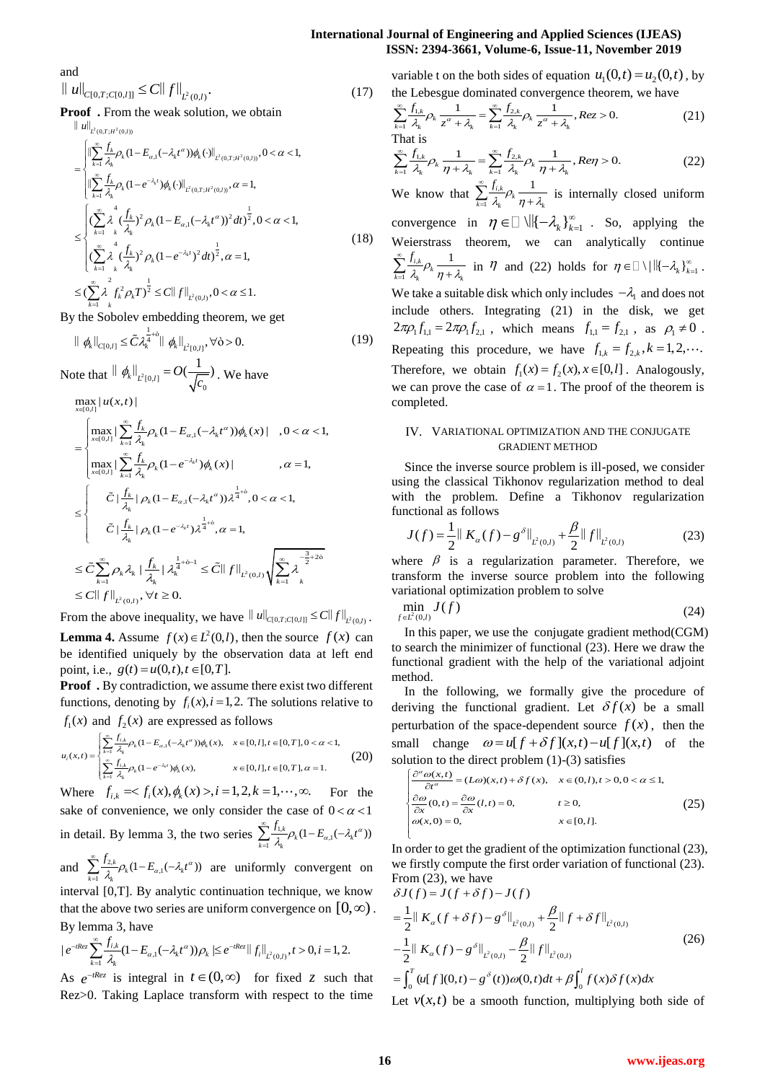# **International Journal of Engineering and Applied Sciences (IJEAS) ISSN: 2394-3661, Volume-6, Issue-11, November 2019**

and

and  

$$
\|u\|_{C[0,T;C[0,l]]} \leq C \|f\|_{L^2(0,l)}.
$$
 (17)

**Proof**. From the weak solution, we obtain

$$
\begin{split}\n&\|\vec{u}\|_{L^{2}(0,T;H^{2}(0,l))} \\
&= \begin{cases}\n\|\sum_{k=1}^{\infty} \frac{f_{k}}{\lambda_{k}} \rho_{k} (1 - E_{\alpha,1}(-\lambda_{k}t^{\alpha})) \phi_{k} (\cdot) \|_{L^{2}(0,T;H^{2}(0,l))}, 0 < \alpha < 1, \\
\|\sum_{k=1}^{\infty} \frac{f_{k}}{\lambda_{k}} \rho_{k} (1 - e^{-\lambda_{k}t}) \phi_{k} (\cdot) \|_{L^{2}(0,T;H^{2}(0,l))}, \alpha = 1, \\
\sum_{k=1}^{\infty} \left( \sum_{k=1}^{\infty} \lambda_{k}^{4} \frac{(f_{k}}{\lambda_{k}})^{2} \rho_{k} (1 - E_{\alpha,1}(-\lambda_{k}t^{\alpha}))^{2} dt \right)^{\frac{1}{2}}, 0 < \alpha < 1, \\
\sum_{k=1}^{\infty} \lambda_{k}^{4} \frac{(f_{k}}{\lambda_{k}})^{2} \rho_{k} (1 - e^{-\lambda_{k}t})^{2} dt \right)^{\frac{1}{2}}, \alpha = 1, \\
&\leq (\sum_{k=1}^{\infty} \lambda_{k}^{2} \frac{1}{\lambda_{k}} \rho_{k} T)^{\frac{1}{2}} \leq C \|f\|_{L^{2}(0,l)}, 0 < \alpha \leq 1.\n\end{cases} \tag{18}
$$

By the Sobolev embedding theorem, we get

$$
\|\phi_k\|_{C[0,l]} \leq \tilde{C} \lambda_k^{\frac{1}{4}+\delta} \|\phi_k\|_{\tilde{L}^2[0,l]}, \forall \delta > 0.
$$
 (19)

Note that  $\|\phi_k\|_{L^2[0,l]} = O(\frac{1}{\sqrt{c_0}})$ te that  $\|\phi_k\|_{L^2[0,l]} = O(\frac{1}{\sqrt{c_0}})$ . We have<br>  $\max_{x \in [0,l]} |u(x,t)|$ 

$$
\max_{x\in[0,l]}|u(x,t)
$$

$$
\max_{x \in [0,1]} |u(x,t)|
$$
\n
$$
= \begin{cases}\n\max_{x \in [0,1]} |\sum_{k=1}^{\infty} \frac{f_k}{\lambda_k} \rho_k (1 - E_{\alpha,1}(-\lambda_k t^{\alpha})) \phi_k(x)|, 0 < \alpha < 1, \\
\max_{x \in [0,1]} |\sum_{k=1}^{\infty} \frac{f_k}{\lambda_k} \rho_k (1 - e^{-\lambda_k t}) \phi_k(x)|, \quad , \alpha = 1, \\
\hat{C} |\frac{f_k}{\lambda_k} | \rho_k (1 - E_{\alpha,1}(-\lambda_k t^{\alpha})) \lambda^{\frac{1}{4} + \delta}, 0 < \alpha < 1, \\
\hat{C} |\frac{f_k}{\lambda_k} | \rho_k (1 - e^{-\lambda_k t}) \lambda^{\frac{1}{4} + \delta}, \alpha = 1, \\
\hat{C} \sum_{k=1}^{\infty} \rho_k \lambda_k | \frac{f_k}{\lambda_k} | \lambda_k^{\frac{1}{4} + \delta - 1} \leq \hat{C} || f ||_{L^2(0,I)} \sqrt{\sum_{k=1}^{\infty} \lambda_k^{\frac{-3}{2} + 2\delta}} \\
\leq C || f ||_{L^2(0,I)}, \forall t \ge 0.\n\end{cases}
$$

From the above inequality, we have  $||u||_{C[0, T; C[0, I]]} \leq C||f||_{L^2(0, I)}$ . **Lemma 4.** Assume  $f(x) \in L^2(0, l)$ , then the source  $f(x)$  can be identified uniquely by the observation data at left end point, i.e.,  $g(t) = u(0, t), t \in [0, T]$ .

**Proof.** By contradiction, we assume there exist two different functions, denoting by  $f_i(x)$ ,  $i = 1, 2$ . The solutions relative to

$$
f_1(x) \text{ and } f_2(x) \text{ are expressed as follows}
$$
\n
$$
u_i(x,t) = \begin{cases} \sum_{k=1}^{\infty} \frac{f_{i,k}}{\lambda_k} \rho_k (1 - E_{\alpha,1}(-\lambda_k t^{\alpha})) \phi_k(x), & x \in [0,1], t \in [0,T], 0 < \alpha < 1, \\ \sum_{k=1}^{\infty} \frac{f_{i,k}}{\lambda_k} \rho_k (1 - e^{-\lambda_k t}) \phi_k(x), & x \in [0,1], t \in [0,T], \alpha = 1. \end{cases}
$$
\n(20)

Where  $\int_{i,k} \frac{\sum_{i,k}^n \rho_k (1 - e^{-\lambda_i t}) \phi_k(x)}{\lambda_k}$ ,  $x \in [0,1], t \in [0,T], \alpha = 1$ .<br>Where  $f_{i,k} = \langle f_i(x), \phi_k(x) \rangle, i = 1, 2, k = 1, \dots, \infty$ . For the sake of convenience, we only consider the case of  $0 < \alpha < 1$ in detail. By lemma 3, the two series  $\sum_{k=1}^{\infty} \frac{f_{1,k}}{\lambda_k} \rho_k (1 - E_{\alpha,1}(-\lambda_k t^{\alpha}))$  $\sum_{k=1}^{\infty} \frac{f_{1,k}}{\lambda_k} \rho_k (1 - E_{\alpha,1}(-\lambda_k t^{\alpha}))$ 

and  $\sum_{k=1}^{\infty} \frac{f_{2,k}}{\lambda_k} \rho_k (1 - E_{\alpha,1}(-\lambda_k t^{\alpha}))$  $\sum_{k=1}^{\infty} \frac{f_{2,k}}{\lambda_k} \rho_k (1 - E_{\alpha,1}(-\lambda_k t^{\alpha}))$  are uniformly convergent on interval [0,T]. By analytic continuation technique, we know that the above two series are uniform convergence on  $[0, \infty)$ .

By lemma 3, have  
\n
$$
|e^{-iRez} \sum_{k=1}^{\infty} \frac{f_{i,k}}{\lambda_k} (1 - E_{\alpha,1}(-\lambda_k t^{\alpha})) \rho_k | \leq e^{-iRez} ||f_i||_{L^2(0,t)}, t > 0, i = 1, 2.
$$

As  $e^{-tRez}$  is integral in  $t \in (0, \infty)$  for fixed z such that Rez>0. Taking Laplace transform with respect to the time

variable t on the both sides of equation  $u_1(0,t) = u_2(0,t)$ , by

variable t on the both sides of equation 
$$
u_1(0,t) = u_2(0,t)
$$
, by  
the Lebesgue dominated convergence theorem, we have  

$$
\sum_{k=1}^{\infty} \frac{f_{1,k}}{\lambda_k} \rho_k \frac{1}{z^{\alpha} + \lambda_k} = \sum_{k=1}^{\infty} \frac{f_{2,k}}{\lambda_k} \rho_k \frac{1}{z^{\alpha} + \lambda_k}
$$
,  $Rez > 0$ . (21)  
That is

$$
\sum_{k=1}^{\infty} \frac{1}{\lambda_k} P_k z^{\alpha} + \lambda_k \sum_{k=1}^{\infty} \frac{1}{\lambda_k} P_k z^{\alpha} + \lambda_k
$$
\nThat is

\n
$$
\sum_{k=1}^{\infty} \frac{f_{1,k}}{\lambda_k} \rho_k \frac{1}{\eta + \lambda_k} = \sum_{k=1}^{\infty} \frac{f_{2,k}}{\lambda_k} \rho_k \frac{1}{\eta + \lambda_k}, \text{Re}\eta > 0.
$$
\n(22)

We know that  $\sum_{i=1}^{J_i}$ 1  $\sum_{k=1}^{\infty}\frac{f_{i,k}}{\lambda_k}\rho_k\frac{1}{\eta+\lambda_k}$  $\frac{f_{i,k}}{\lambda_k} \rho_k \frac{1}{\eta + \lambda_k}$  $\sum_{k=1}^{\infty} \frac{f_{i,k}}{\lambda_k} \rho_k \frac{1}{\eta + \lambda_k}$  is internally closed uniform convergence in  $\eta \in \Box \setminus \parallel \{-\lambda_k\}_{k=1}^{\infty}$ . So, applying the Weierstrass theorem, we can analytically continue , 1  $\sum_{k=1}^{\infty} \frac{f_{i,k}}{\lambda_k} \rho_k \frac{1}{\eta + \lambda_k}$  $\frac{f_{i,k}}{\lambda_k} \rho_k \frac{1}{\eta + \lambda_k}$  $\sum_{k=1}^{\infty} \frac{f_{i,k}}{\lambda_k} \rho_k \frac{1}{\eta + \lambda_k}$  in  $\eta$  and (22) holds for  $\eta \in \mathbb{R} \setminus \{ ||(-\lambda_k)|_{k=1}^{\infty}$ . We take a suitable disk which only includes  $-\lambda_1$  and does not include others. Integrating (21) in the disk, we get  $2\pi \rho_1 f_{1,1} = 2\pi \rho_1 f_{2,1}$ , which means  $f_{1,1} = f_{2,1}$ , as  $\rho_1 \neq 0$ . Repeating this procedure, we have  $f_{1,k} = f_{2,k}$ ,  $k = 1, 2, \cdots$ . Therefore, we obtain  $f_1(x) = f_2(x), x \in [0, l]$ . Analogously, we can prove the case of  $\alpha = 1$ . The proof of the theorem is completed.

## IV. VARIATIONAL OPTIMIZATION AND THE CONJUGATE GRADIENT METHOD

Since the inverse source problem is ill-posed, we consider using the classical Tikhonov regularization method to deal with the problem. Define a Tikhonov regularization

functional as follows  
\n
$$
J(f) = \frac{1}{2} || K_{\alpha}(f) - g^{\delta} ||_{L^{2}(0,I)} + \frac{\beta}{2} || f ||_{L^{2}(0,I)}
$$
\n(23)

where  $\beta$  is a regularization parameter. Therefore, we transform the inverse source problem into the following variational optimization problem to solve

$$
\min_{f \in L^2(0,l)} J(f) \tag{24}
$$

In this paper, we use the conjugate gradient method(CGM) to search the minimizer of functional (23). Here we draw the functional gradient with the help of the variational adjoint method.

In the following, we formally give the procedure of deriving the functional gradient. Let  $\delta f(x)$  be a small perturbation of the space-dependent source  $f(x)$ , then the perturbation of the space-dependent source  $f(x)$ , then the<br>small change  $\omega = u[f + \delta f](x,t) - u[f](x,t)$  of the solution to the direct problem (1)-(3) satisfies (a)  $\omega = u_1 f + \omega f_1(x,t) - u_1 f_1(x,t)$  or the direct problem (1)-(3) satisfies<br>  $\left( \frac{\partial^{\alpha} \omega(x,t)}{\partial t^{\alpha}} = (L\omega)(x,t) + \delta f(x), \quad x \in (0,1), t > 0, 0 < \alpha \le 1, \right)$ 

$$
\begin{cases}\n\frac{\partial^{\alpha} \omega(x,t)}{\partial t^{\alpha}} = (L\omega)(x,t) + \delta f(x), & x \in (0,l), t > 0, 0 < \alpha \le 1, \\
\frac{\partial \omega}{\partial x}(0,t) = \frac{\partial \omega}{\partial x}(l,t) = 0, & t \ge 0, \\
\omega(x,0) = 0, & x \in [0,l].\n\end{cases}
$$
\n(25)

In order to get the gradient of the optimization functional (23), we firstly compute the first order variation of functional (23). From (23), we have firstly compute the first<br>m (23), we have<br> $(f) = J(f + \delta f) - J(f)$ e firstly compute the first<br>rom (23), we have<br> $J(f) = J(f + \delta f) - J(f)$ we firstly compute the fi<br>From (23), we have<br> $\delta J(f) = J(f + \delta f) - J(f)$ ly compute the first o<br>23), we have<br>=  $J(f + \delta f) - J(f)$ 

$$
\delta J(f) = J(f + \delta f) - J(f)
$$
  
\n
$$
= \frac{1}{2} || K_{\alpha}(f + \delta f) - g^{\delta} ||_{L^{2}(0,I)} + \frac{\beta}{2} || f + \delta f ||_{L^{2}(0,I)}
$$
  
\n
$$
- \frac{1}{2} || K_{\alpha}(f) - g^{\delta} ||_{L^{2}(0,I)} - \frac{\beta}{2} || f ||_{L^{2}(0,I)}
$$
  
\n
$$
= \int_{0}^{T} (u[f](0,t) - g^{\delta}(t)) \omega(0,t) dt + \beta \int_{0}^{l} f(x) \delta f(x) dx
$$

Let  $v(x,t)$  be a smooth function, multiplying both side of

 $\overline{a}$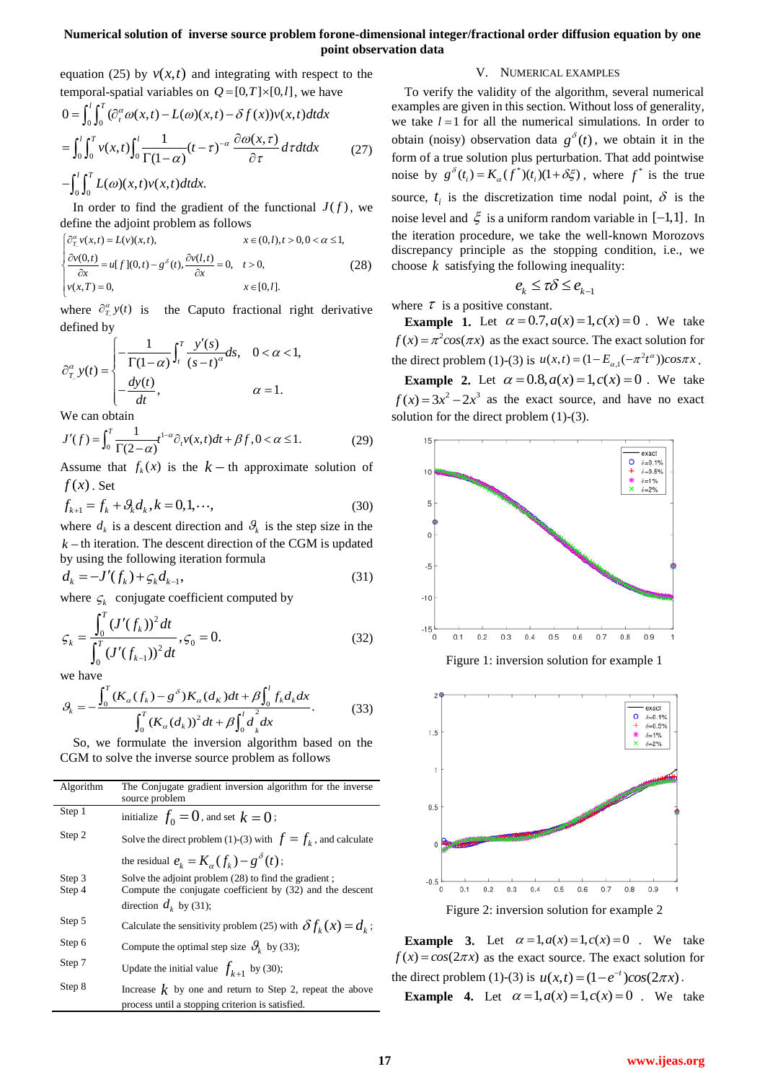# **Numerical solution of inverse source problem forone-dimensional integer/fractional order diffusion equation by one point observation data**

equation (25) by  $v(x,t)$  and integrating with respect to the equation (25) by  $v(x,t)$  and integrating with respect<br>temporal-spatial variables on  $Q = [0, T] \times [0, l]$ , we have<br> $0 = \int_0^l \int_0^T (\partial_t^{\alpha} \omega(x,t) - L(\omega)(x,t) - \delta f(x)) v(x,t) dt dx$ 

$$
0 = \int_0^l \int_0^T (\partial_t^{\alpha} \omega(x, t) - L(\omega)(x, t) - \delta f(x)) v(x, t) dt dx
$$
  
\n
$$
= \int_0^l \int_0^T v(x, t) \int_0^l \frac{1}{\Gamma(1 - \alpha)} (t - \tau)^{-\alpha} \frac{\partial \omega(x, \tau)}{\partial \tau} d\tau dt dx
$$
 (27)  
\n
$$
- \int_0^l \int_0^T L(\omega)(x, t) v(x, t) dt dx.
$$

In order to find the gradient of the functional  $J(f)$ , we define the adjoint problem as follows<br>  $\begin{cases} \frac{\partial \alpha}{\partial x} v(x,t) = L(v)(x,t), \\ 0 & x \in (0,l), t > 0, 0 < \alpha \le 1, \end{cases}$ define the adjoint problem as follows In order to find the gradient of the func<br>
fine the adjoint problem as follows<br>  $x \in (0, l), t$ <br>  $x \in (0, l), t$ 

define the adjoint problem as follows  
\n
$$
\begin{cases}\n\frac{\partial^{\alpha}_{t}}{\partial t}v(x,t) = L(v)(x,t), & x \in (0,l), t > 0, 0 < \alpha \le 1, \\
\frac{\partial v(0,t)}{\partial x} = u[f](0,t) - g^{\delta}(t), & \frac{\partial v(l,t)}{\partial x} = 0, \quad t > 0, \\
v(x,T) = 0, & x \in [0,l].\n\end{cases}
$$
\n(28)

where  $\partial_{T_2}^{\alpha} y(t)$ the Caputo fractional right derivative defined by

defined by  
\n
$$
\hat{\sigma}_{T}^{\alpha} y(t) = \begin{cases}\n-\frac{1}{\Gamma(1-\alpha)} \int_{t}^{T} \frac{y'(s)}{(s-t)^{\alpha}} ds, & 0 < \alpha < 1, \\
-\frac{dy(t)}{dt}, & \alpha = 1.\n\end{cases}
$$

We can obtain

We can obtain  
\n
$$
J'(f) = \int_0^T \frac{1}{\Gamma(2-\alpha)} t^{1-\alpha} \partial_t v(x,t) dt + \beta f, 0 < \alpha \le 1.
$$
\n(29)

Assume that  $f_k(x)$  is the  $k - th$  approximate solution of  $f(x)$ . Set

$$
f_{k+1} = f_k + \mathcal{G}_k d_k, k = 0, 1, \cdots,
$$
 (30)

where  $d_k$  is a descent direction and  $\mathcal{G}_k$  is the step size in the  $k$  – th iteration. The descent direction of the CGM is updated by using the following iteration formula

$$
d_k = -J'(f_k) + \zeta_k d_{k-1},
$$
\n(31)

where  $\zeta_k$  conjugate coefficient computed by

$$
\varsigma_{k} = \frac{\int_{0}^{T} (J'(f_{k}))^{2} dt}{\int_{0}^{T} (J'(f_{k-1}))^{2} dt}, \varsigma_{0} = 0.
$$
\n(32)

we have

$$
\int_{0}^{L} (f'(f_{k-1}))^{2} dt
$$
  
we have  

$$
\mathcal{G}_{k} = -\frac{\int_{0}^{T} (K_{\alpha}(f_{k}) - g^{\delta}) K_{\alpha}(d_{K}) dt + \beta \int_{0}^{L} f_{k} d_{k} dx}{\int_{0}^{T} (K_{\alpha}(d_{k}))^{2} dt + \beta \int_{0}^{L} d_{k}^{2} dx}.
$$
 (33)

So, we formulate the inversion algorithm based on the CGM to solve the inverse source problem as follows

| Algorithm | The Conjugate gradient inversion algorithm for the inverse<br>source problem                                   |
|-----------|----------------------------------------------------------------------------------------------------------------|
| Step 1    | initialize $f_0 = 0$ , and set $k = 0$ ;                                                                       |
| Step 2    | Solve the direct problem (1)-(3) with $f = f_k$ , and calculate                                                |
|           | the residual $e_k = K_{\alpha}(f_k) - g^{\delta}(t)$ ;                                                         |
| Step 3    | Solve the adjoint problem (28) to find the gradient;                                                           |
| Step 4    | Compute the conjugate coefficient by (32) and the descent                                                      |
|           | direction $d_k$ by (31);                                                                                       |
| Step 5    | Calculate the sensitivity problem (25) with $\delta f_k(x) = d_k$ ;                                            |
| Step 6    | Compute the optimal step size $\mathcal{G}_{k}$ by (33);                                                       |
| Step 7    | Update the initial value $f_{k+1}$ by (30);                                                                    |
| Step 8    | Increase $k$ by one and return to Step 2, repeat the above<br>process until a stopping criterion is satisfied. |

#### V. NUMERICAL EXAMPLES

To verify the validity of the algorithm, several numerical examples are given in this section. Without loss of generality, we take  $l = 1$  for all the numerical simulations. In order to obtain (noisy) observation data  $g^{\delta}(t)$ , we obtain it in the form of a true solution plus perturbation. That add pointwise noise by  $g^{\delta}(t_i) = K_{\alpha}(f^*)(t_i)(1 + \delta \xi)$ , where  $f^*$  is the true source,  $t_i$  is the discretization time nodal point,  $\delta$  is the noise level and  $\xi$  is a uniform random variable in [-1,1]. In the iteration procedure, we take the well-known Morozovs discrepancy principle as the stopping condition, i.e., we choose  $k$  satisfying the following inequality:

$$
e_k \leq \tau \delta \leq e_{k-1}
$$

where  $\tau$  is a positive constant.

Example 1. Let  $\alpha = 0.7$ ,  $a(x) = 1$ ,  $c(x) = 0$ . We take  $f(x) = \pi^2 \cos(\pi x)$  as the exact source. The exact solution for  $f(x) = n \cos(\lambda x)$  as the exact source. The exact solution for<br>the direct problem (1)-(3) is  $u(x,t) = (1 - E_{\alpha,1}(-\pi^2 t^{\alpha}))\cos(\pi x)$ .

**Example 2.** Let  $\alpha = 0.8$ ,  $a(x) = 1$ ,  $c(x) = 0$ . We take  $f(x) = 3x^2 - 2x^3$  as the exact source, and have no exact solution for the direct problem (1)-(3).



Figure 1: inversion solution for example 1



**Example 3.** Let  $\alpha = 1$ ,  $a(x) = 1$ ,  $c(x) = 0$ . We take  $f(x) = cos(2\pi x)$  as the exact source. The exact solution for the direct problem (1)-(3) is  $u(x,t) = (1 - e^{-t})cos(2\pi x)$ .

**Example 4.** Let  $\alpha = 1, a(x) = 1, c(x) = 0$ . We take